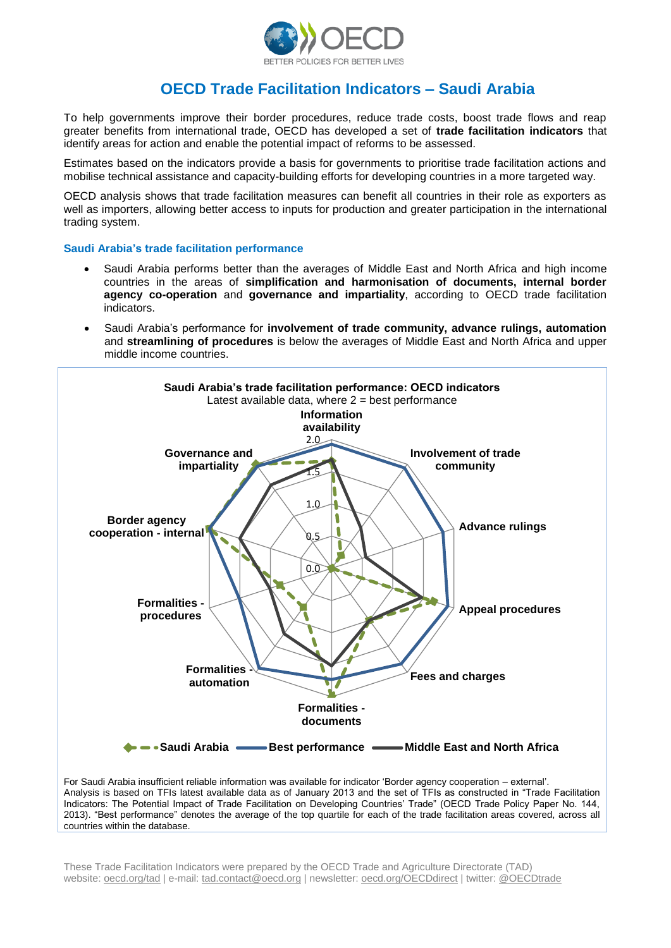

# **OECD Trade Facilitation Indicators – Saudi Arabia**

To help governments improve their border procedures, reduce trade costs, boost trade flows and reap greater benefits from international trade, OECD has developed a set of **trade facilitation indicators** that identify areas for action and enable the potential impact of reforms to be assessed.

Estimates based on the indicators provide a basis for governments to prioritise trade facilitation actions and mobilise technical assistance and capacity-building efforts for developing countries in a more targeted way.

OECD analysis shows that trade facilitation measures can benefit all countries in their role as exporters as well as importers, allowing better access to inputs for production and greater participation in the international trading system.

## **Saudi Arabia's trade facilitation performance**

- Saudi Arabia performs better than the averages of Middle East and North Africa and high income countries in the areas of **simplification and harmonisation of documents, internal border agency co-operation** and **governance and impartiality**, according to OECD trade facilitation indicators.
- Saudi Arabia's performance for **involvement of trade community, advance rulings, automation**  and **streamlining of procedures** is below the averages of Middle East and North Africa and upper middle income countries.



For Saudi Arabia insufficient reliable information was available for indicator 'Border agency cooperation – external'. Analysis is based on TFIs latest available data as of January 2013 and the set of TFIs as constructed in "Trade Facilitation Indicators: The Potential Impact of Trade Facilitation on Developing Countries' Trade" (OECD Trade Policy Paper No. 144, 2013). "Best performance" denotes the average of the top quartile for each of the trade facilitation areas covered, across all countries within the database.

These Trade Facilitation Indicators were prepared by the OECD Trade and Agriculture Directorate (TAD) website: oecd.org/tad | e-mail: tad.contact@oecd.org | newsletter: oecd.org/OECDdirect | twitter: @OECDtrade